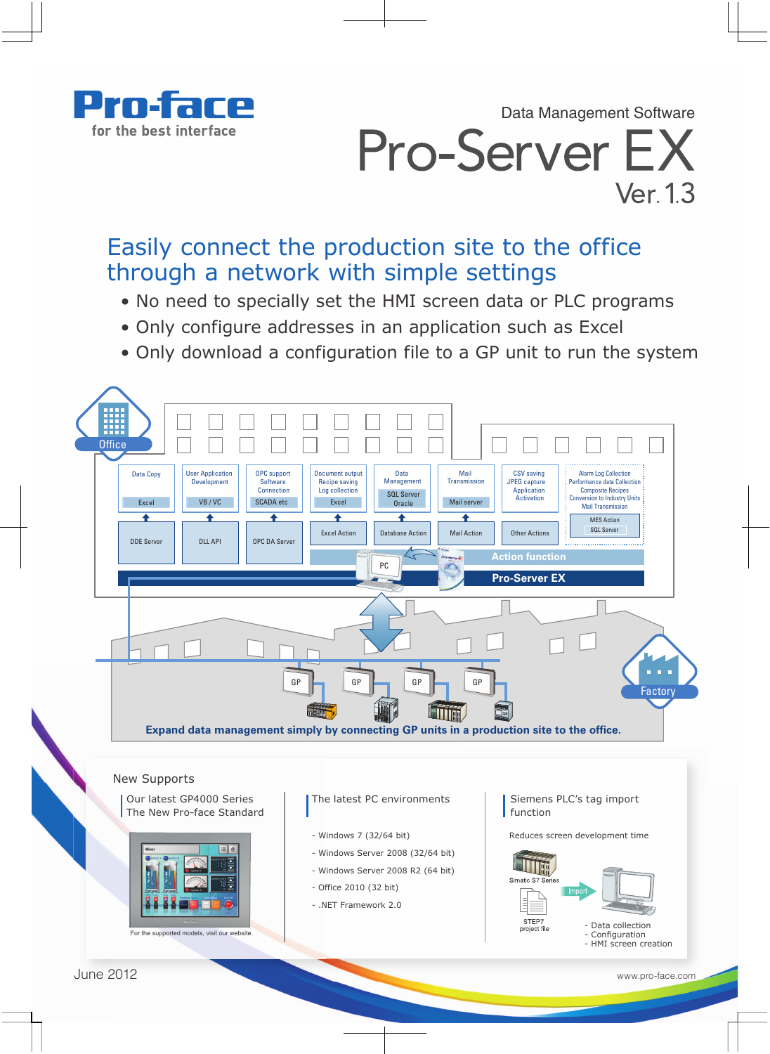

Data Management Software

**Pro-Server EX** Ver. 1.3

# Easily connect the production site to the office through a network with simple settings

- No need to specially set the HMI screen data or PLC programs
- Only configure addresses in an application such as Excel
- Only download a configuration file to a GP unit to run the system